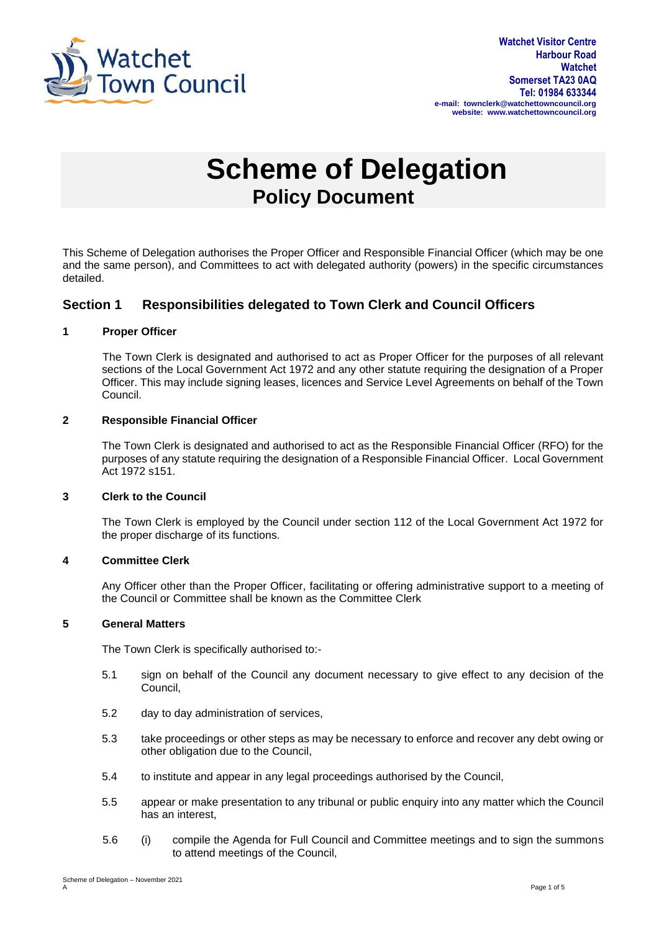

# **Scheme of Delegation Policy Document**

This Scheme of Delegation authorises the Proper Officer and Responsible Financial Officer (which may be one and the same person), and Committees to act with delegated authority (powers) in the specific circumstances detailed.

## **Section 1 Responsibilities delegated to Town Clerk and Council Officers**

#### **1 Proper Officer**

The Town Clerk is designated and authorised to act as Proper Officer for the purposes of all relevant sections of the Local Government Act 1972 and any other statute requiring the designation of a Proper Officer. This may include signing leases, licences and Service Level Agreements on behalf of the Town Council.

#### **2 Responsible Financial Officer**

The Town Clerk is designated and authorised to act as the Responsible Financial Officer (RFO) for the purposes of any statute requiring the designation of a Responsible Financial Officer. Local Government Act 1972 s151.

#### **3 Clerk to the Council**

The Town Clerk is employed by the Council under section 112 of the Local Government Act 1972 for the proper discharge of its functions.

#### **4 Committee Clerk**

Any Officer other than the Proper Officer, facilitating or offering administrative support to a meeting of the Council or Committee shall be known as the Committee Clerk

#### **5 General Matters**

The Town Clerk is specifically authorised to:-

- 5.1 sign on behalf of the Council any document necessary to give effect to any decision of the Council,
- 5.2 day to day administration of services,
- 5.3 take proceedings or other steps as may be necessary to enforce and recover any debt owing or other obligation due to the Council,
- 5.4 to institute and appear in any legal proceedings authorised by the Council,
- 5.5 appear or make presentation to any tribunal or public enquiry into any matter which the Council has an interest,
- 5.6 (i) compile the Agenda for Full Council and Committee meetings and to sign the summons to attend meetings of the Council,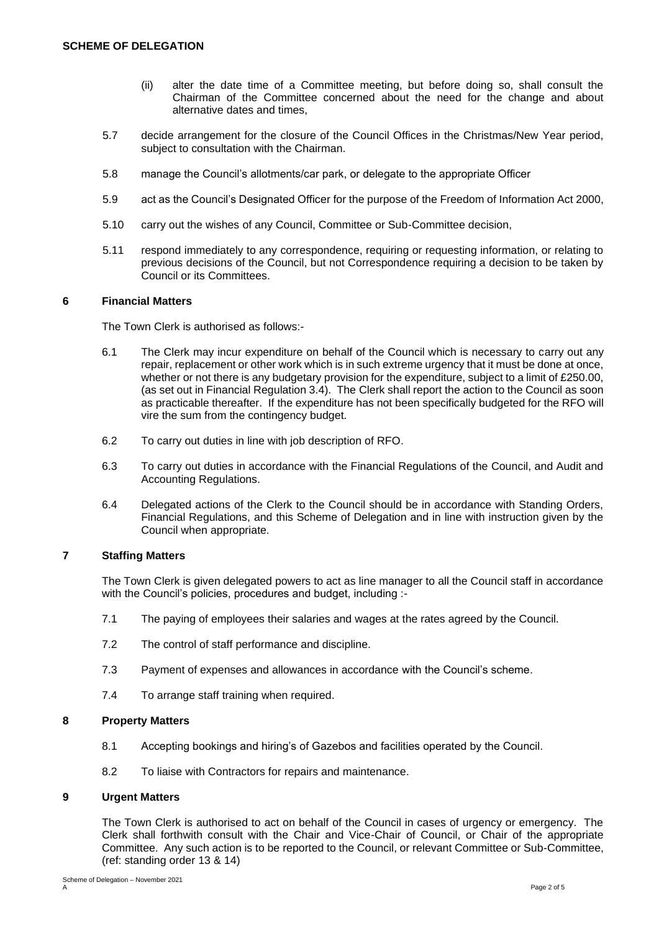- (ii) alter the date time of a Committee meeting, but before doing so, shall consult the Chairman of the Committee concerned about the need for the change and about alternative dates and times,
- 5.7 decide arrangement for the closure of the Council Offices in the Christmas/New Year period, subject to consultation with the Chairman.
- 5.8 manage the Council's allotments/car park, or delegate to the appropriate Officer
- 5.9 act as the Council's Designated Officer for the purpose of the Freedom of Information Act 2000,
- 5.10 carry out the wishes of any Council, Committee or Sub-Committee decision,
- 5.11 respond immediately to any correspondence, requiring or requesting information, or relating to previous decisions of the Council, but not Correspondence requiring a decision to be taken by Council or its Committees.

#### **6 Financial Matters**

The Town Clerk is authorised as follows:-

- 6.1 The Clerk may incur expenditure on behalf of the Council which is necessary to carry out any repair, replacement or other work which is in such extreme urgency that it must be done at once, whether or not there is any budgetary provision for the expenditure, subject to a limit of £250.00, (as set out in Financial Regulation 3.4). The Clerk shall report the action to the Council as soon as practicable thereafter. If the expenditure has not been specifically budgeted for the RFO will vire the sum from the contingency budget.
- 6.2 To carry out duties in line with job description of RFO.
- 6.3 To carry out duties in accordance with the Financial Regulations of the Council, and Audit and Accounting Regulations.
- 6.4 Delegated actions of the Clerk to the Council should be in accordance with Standing Orders, Financial Regulations, and this Scheme of Delegation and in line with instruction given by the Council when appropriate.

#### **7 Staffing Matters**

The Town Clerk is given delegated powers to act as line manager to all the Council staff in accordance with the Council's policies, procedures and budget, including :-

- 7.1 The paying of employees their salaries and wages at the rates agreed by the Council.
- 7.2 The control of staff performance and discipline.
- 7.3 Payment of expenses and allowances in accordance with the Council's scheme.
- 7.4 To arrange staff training when required.

## **8 Property Matters**

- 8.1 Accepting bookings and hiring's of Gazebos and facilities operated by the Council.
- 8.2 To liaise with Contractors for repairs and maintenance.

#### **9 Urgent Matters**

The Town Clerk is authorised to act on behalf of the Council in cases of urgency or emergency. The Clerk shall forthwith consult with the Chair and Vice-Chair of Council, or Chair of the appropriate Committee. Any such action is to be reported to the Council, or relevant Committee or Sub-Committee, (ref: standing order 13 & 14)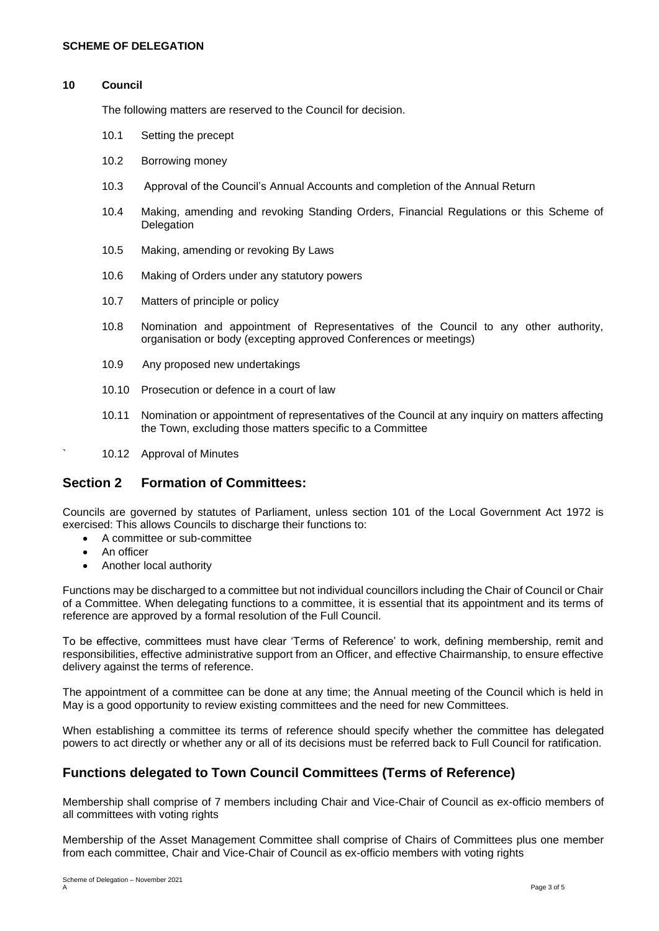#### **10 Council**

The following matters are reserved to the Council for decision.

- 10.1 Setting the precept
- 10.2 Borrowing money
- 10.3 Approval of the Council's Annual Accounts and completion of the Annual Return
- 10.4 Making, amending and revoking Standing Orders, Financial Regulations or this Scheme of **Delegation**
- 10.5 Making, amending or revoking By Laws
- 10.6 Making of Orders under any statutory powers
- 10.7 Matters of principle or policy
- 10.8 Nomination and appointment of Representatives of the Council to any other authority, organisation or body (excepting approved Conferences or meetings)
- 10.9 Any proposed new undertakings
- 10.10 Prosecution or defence in a court of law
- 10.11 Nomination or appointment of representatives of the Council at any inquiry on matters affecting the Town, excluding those matters specific to a Committee
- ` 10.12 Approval of Minutes

## **Section 2 Formation of Committees:**

Councils are governed by statutes of Parliament, unless section 101 of the Local Government Act 1972 is exercised: This allows Councils to discharge their functions to:

- A committee or sub-committee
- An officer
- Another local authority

Functions may be discharged to a committee but not individual councillors including the Chair of Council or Chair of a Committee. When delegating functions to a committee, it is essential that its appointment and its terms of reference are approved by a formal resolution of the Full Council.

To be effective, committees must have clear 'Terms of Reference' to work, defining membership, remit and responsibilities, effective administrative support from an Officer, and effective Chairmanship, to ensure effective delivery against the terms of reference.

The appointment of a committee can be done at any time; the Annual meeting of the Council which is held in May is a good opportunity to review existing committees and the need for new Committees.

When establishing a committee its terms of reference should specify whether the committee has delegated powers to act directly or whether any or all of its decisions must be referred back to Full Council for ratification.

## **Functions delegated to Town Council Committees (Terms of Reference)**

Membership shall comprise of 7 members including Chair and Vice-Chair of Council as ex-officio members of all committees with voting rights

Membership of the Asset Management Committee shall comprise of Chairs of Committees plus one member from each committee, Chair and Vice-Chair of Council as ex-officio members with voting rights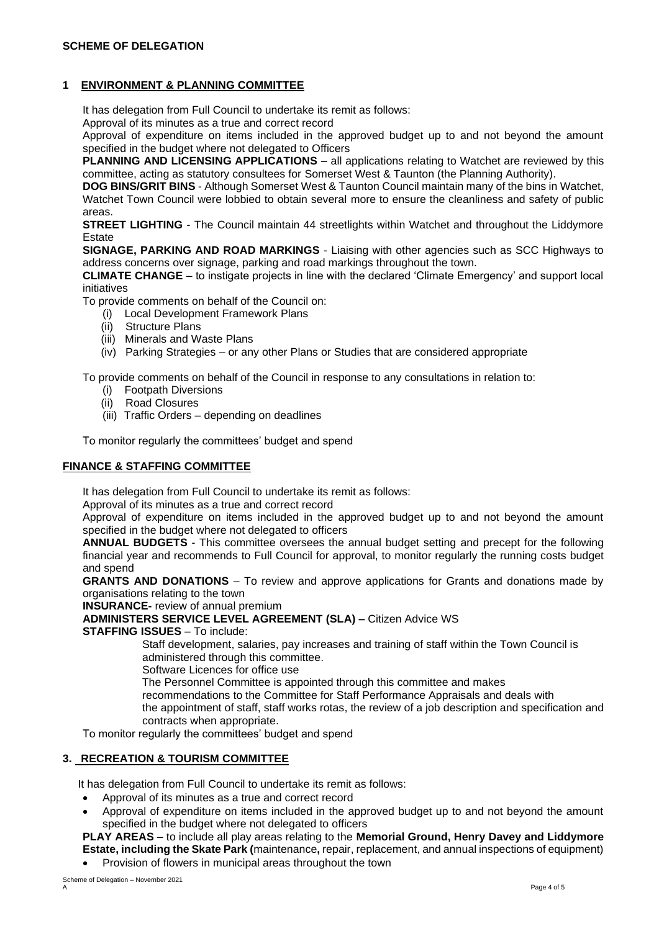#### **SCHEME OF DELEGATION**

#### **1 ENVIRONMENT & PLANNING COMMITTEE**

It has delegation from Full Council to undertake its remit as follows:

Approval of its minutes as a true and correct record

Approval of expenditure on items included in the approved budget up to and not beyond the amount specified in the budget where not delegated to Officers

**PLANNING AND LICENSING APPLICATIONS** – all applications relating to Watchet are reviewed by this committee, acting as statutory consultees for Somerset West & Taunton (the Planning Authority).

**DOG BINS/GRIT BINS** - Although Somerset West & Taunton Council maintain many of the bins in Watchet, Watchet Town Council were lobbied to obtain several more to ensure the cleanliness and safety of public areas.

**STREET LIGHTING** - The Council maintain 44 streetlights within Watchet and throughout the Liddymore Estate

**SIGNAGE, PARKING AND ROAD MARKINGS** - Liaising with other agencies such as SCC Highways to address concerns over signage, parking and road markings throughout the town.

**CLIMATE CHANGE** – to instigate projects in line with the declared 'Climate Emergency' and support local initiatives

To provide comments on behalf of the Council on:

- (i) Local Development Framework Plans
- (ii) Structure Plans
- (iii) Minerals and Waste Plans
- (iv) Parking Strategies or any other Plans or Studies that are considered appropriate

To provide comments on behalf of the Council in response to any consultations in relation to:

- (i) Footpath Diversions
- (ii) Road Closures
- (iii) Traffic Orders depending on deadlines

To monitor regularly the committees' budget and spend

#### **FINANCE & STAFFING COMMITTEE**

It has delegation from Full Council to undertake its remit as follows:

Approval of its minutes as a true and correct record

Approval of expenditure on items included in the approved budget up to and not beyond the amount specified in the budget where not delegated to officers

**ANNUAL BUDGETS** - This committee oversees the annual budget setting and precept for the following financial year and recommends to Full Council for approval, to monitor regularly the running costs budget and spend

**GRANTS AND DONATIONS** – To review and approve applications for Grants and donations made by organisations relating to the town

**INSURANCE-** review of annual premium

**ADMINISTERS SERVICE LEVEL AGREEMENT (SLA) –** Citizen Advice WS

**STAFFING ISSUES** – To include:

 Staff development, salaries, pay increases and training of staff within the Town Council is administered through this committee.

Software Licences for office use

The Personnel Committee is appointed through this committee and makes

recommendations to the Committee for Staff Performance Appraisals and deals with

the appointment of staff, staff works rotas, the review of a job description and specification and contracts when appropriate.

To monitor regularly the committees' budget and spend

#### **3. RECREATION & TOURISM COMMITTEE**

It has delegation from Full Council to undertake its remit as follows:

- Approval of its minutes as a true and correct record
- Approval of expenditure on items included in the approved budget up to and not beyond the amount specified in the budget where not delegated to officers

**PLAY AREAS** – to include all play areas relating to the **Memorial Ground, Henry Davey and Liddymore Estate, including the Skate Park (**maintenance**,** repair, replacement, and annual inspections of equipment)

• Provision of flowers in municipal areas throughout the town